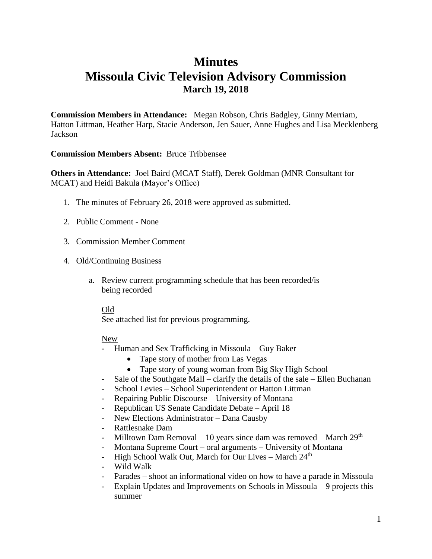# **Minutes Missoula Civic Television Advisory Commission March 19, 2018**

**Commission Members in Attendance:** Megan Robson, Chris Badgley, Ginny Merriam, Hatton Littman, Heather Harp, Stacie Anderson, Jen Sauer, Anne Hughes and Lisa Mecklenberg Jackson

## **Commission Members Absent:** Bruce Tribbensee

**Others in Attendance:** Joel Baird (MCAT Staff), Derek Goldman (MNR Consultant for MCAT) and Heidi Bakula (Mayor's Office)

- 1. The minutes of February 26, 2018 were approved as submitted.
- 2. Public Comment None
- 3. Commission Member Comment
- 4. Old/Continuing Business
	- a. Review current programming schedule that has been recorded/is being recorded

### Old

See attached list for previous programming.

## New

- Human and Sex Trafficking in Missoula Guy Baker
	- Tape story of mother from Las Vegas
	- Tape story of young woman from Big Sky High School
- Sale of the Southgate Mall clarify the details of the sale Ellen Buchanan
- School Levies School Superintendent or Hatton Littman
- Repairing Public Discourse University of Montana
- Republican US Senate Candidate Debate April 18
- New Elections Administrator Dana Causby
- Rattlesnake Dam
- Milltown Dam Removal 10 years since dam was removed March  $29<sup>th</sup>$
- Montana Supreme Court oral arguments University of Montana
- High School Walk Out, March for Our Lives March  $24<sup>th</sup>$
- Wild Walk
- Parades shoot an informational video on how to have a parade in Missoula
- Explain Updates and Improvements on Schools in Missoula 9 projects this summer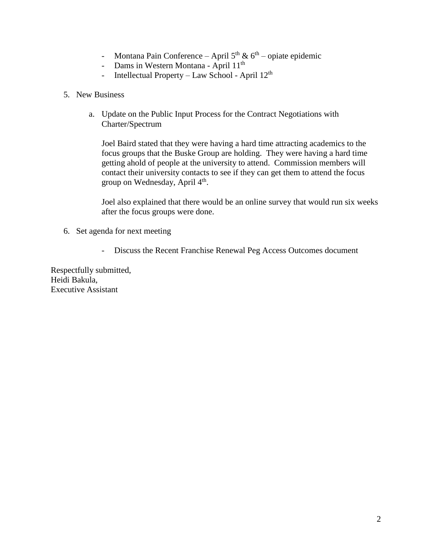- Montana Pain Conference April  $5<sup>th</sup>$  &  $6<sup>th</sup>$  opiate epidemic
- Dams in Western Montana April 11<sup>th</sup>
- Intellectual Property Law School April 12<sup>th</sup>
- 5. New Business
	- a. Update on the Public Input Process for the Contract Negotiations with Charter/Spectrum

Joel Baird stated that they were having a hard time attracting academics to the focus groups that the Buske Group are holding. They were having a hard time getting ahold of people at the university to attend. Commission members will contact their university contacts to see if they can get them to attend the focus group on Wednesday, April  $4<sup>th</sup>$ .

Joel also explained that there would be an online survey that would run six weeks after the focus groups were done.

- 6. Set agenda for next meeting
	- Discuss the Recent Franchise Renewal Peg Access Outcomes document

Respectfully submitted, Heidi Bakula, Executive Assistant